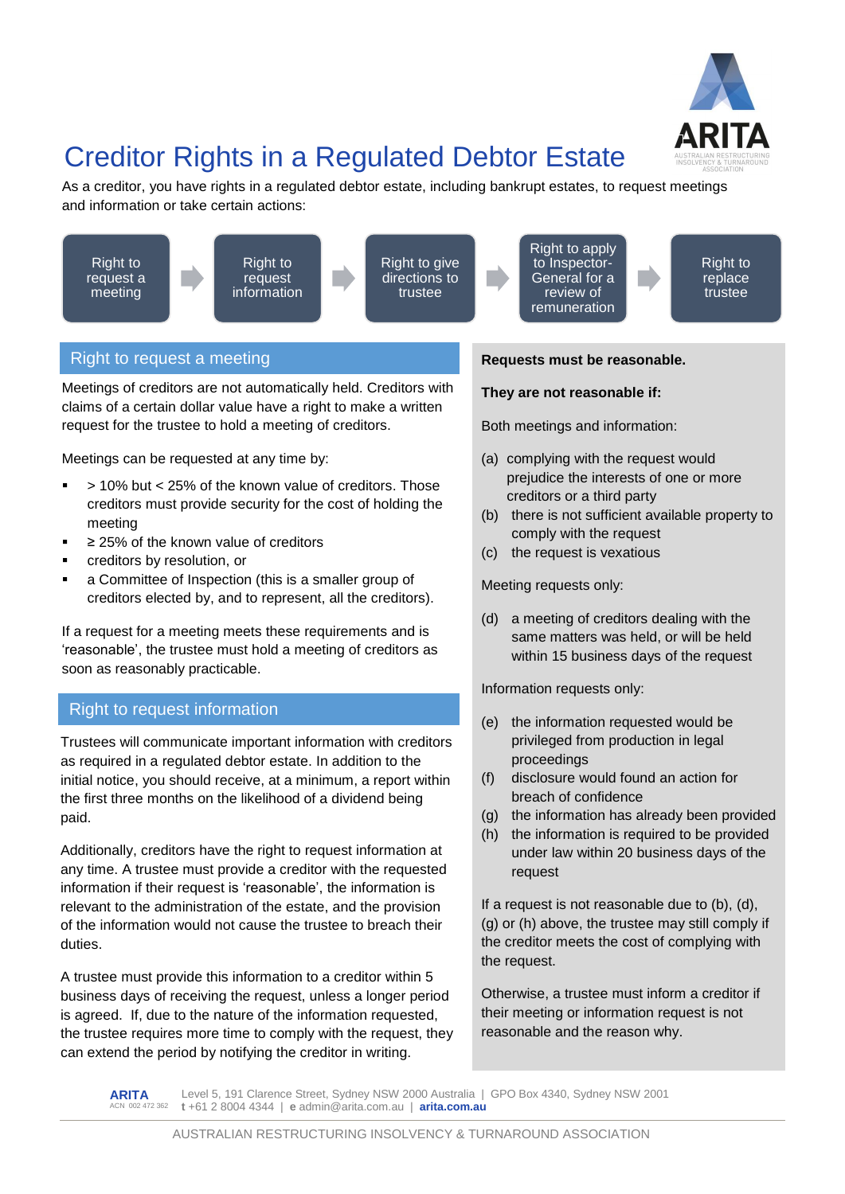

# Creditor Rights in a Regulated Debtor Estate

As a creditor, you have rights in a regulated debtor estate, including bankrupt estates, to request meetings and information or take certain actions:



# Right to request a meeting

Meetings of creditors are not automatically held. Creditors with claims of a certain dollar value have a right to make a written request for the trustee to hold a meeting of creditors.

Meetings can be requested at any time by:

- > 10% but < 25% of the known value of creditors. Those creditors must provide security for the cost of holding the meeting
- ≥ 25% of the known value of creditors
- creditors by resolution, or
- a Committee of Inspection (this is a smaller group of creditors elected by, and to represent, all the creditors).

If a request for a meeting meets these requirements and is 'reasonable', the trustee must hold a meeting of creditors as soon as reasonably practicable.

# Right to request information

Trustees will communicate important information with creditors as required in a regulated debtor estate. In addition to the initial notice, you should receive, at a minimum, a report within the first three months on the likelihood of a dividend being paid.

Additionally, creditors have the right to request information at any time. A trustee must provide a creditor with the requested information if their request is 'reasonable', the information is relevant to the administration of the estate, and the provision of the information would not cause the trustee to breach their duties.

A trustee must provide this information to a creditor within 5 business days of receiving the request, unless a longer period is agreed. If, due to the nature of the information requested, the trustee requires more time to comply with the request, they can extend the period by notifying the creditor in writing.



Right to apply to Inspector-General for a

Right to replace trustee

#### **Requests must be reasonable.**

#### **They are not reasonable if:**

Both meetings and information:

- (a) complying with the request would prejudice the interests of one or more creditors or a third party
- (b) there is not sufficient available property to comply with the request
- (c) the request is vexatious

Meeting requests only:

(d) a meeting of creditors dealing with the same matters was held, or will be held within 15 business days of the request

Information requests only:

- (e) the information requested would be privileged from production in legal proceedings
- (f) disclosure would found an action for breach of confidence
- (g) the information has already been provided
- (h) the information is required to be provided under law within 20 business days of the request

If a request is not reasonable due to (b), (d), (g) or (h) above, the trustee may still comply if the creditor meets the cost of complying with the request.

Otherwise, a trustee must inform a creditor if their meeting or information request is not reasonable and the reason why.

**ARITA** -------<br>N 002 472 362 Level 5, 191 Clarence Street, Sydney NSW 2000 Australia | GPO Box 4340, Sydney NSW 2001 **t** +61 2 8004 4344 | **e** admin@arita.com.au | **arita.com.au**